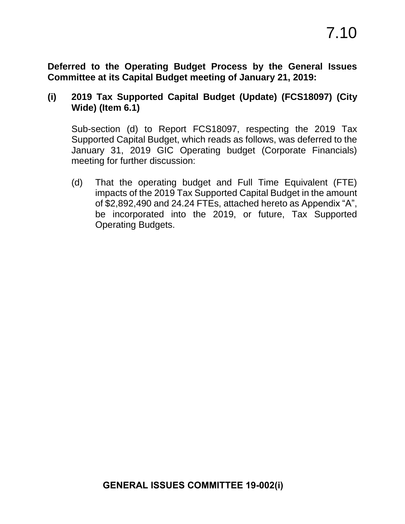**Deferred to the Operating Budget Process by the General Issues Committee at its Capital Budget meeting of January 21, 2019:** 

## **(i) 2019 Tax Supported Capital Budget (Update) (FCS18097) (City Wide) (Item 6.1)**

Sub-section (d) to Report FCS18097, respecting the 2019 Tax Supported Capital Budget, which reads as follows, was deferred to the January 31, 2019 GIC Operating budget (Corporate Financials) meeting for further discussion:

(d) That the operating budget and Full Time Equivalent (FTE) impacts of the 2019 Tax Supported Capital Budget in the amount of \$2,892,490 and 24.24 FTEs, attached hereto as Appendix "A", be incorporated into the 2019, or future, Tax Supported Operating Budgets.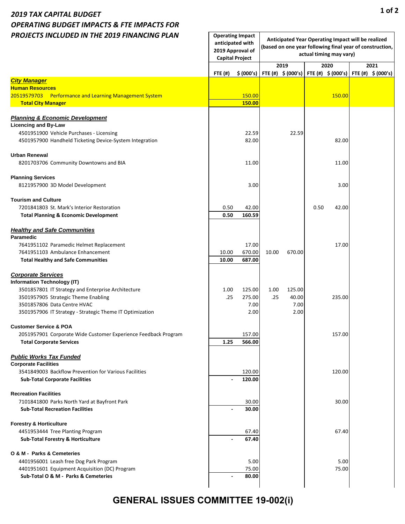## *2019 TAX CAPITAL BUDGET OPERATING BUDGET IMPACTS & FTE IMPACTS FOR PROJECTS INCLUDED IN THE 2019 FINANCING PLAN*

| PROJECTS INCLUDED IN THE 2019 FINANCING PLAN                                | anticipated with<br><b>Capital Project</b> | <b>Operating Impact</b><br>2019 Approval of | Anticipated Year Operating Impact will be realized<br>(based on one year following final year of construction,<br>actual timing may vary) |        |      |                                                                     |  |                               |
|-----------------------------------------------------------------------------|--------------------------------------------|---------------------------------------------|-------------------------------------------------------------------------------------------------------------------------------------------|--------|------|---------------------------------------------------------------------|--|-------------------------------|
|                                                                             | <b>FTE (#)</b>                             | \$ (000's)                                  |                                                                                                                                           | 2019   |      | 2020<br>FTE (#) $\frac{1}{5}$ (000's) FTE (#) $\frac{1}{5}$ (000's) |  | 2021<br>FTE $(\#)$ \$ (000's) |
| <b>City Manager</b>                                                         |                                            |                                             |                                                                                                                                           |        |      |                                                                     |  |                               |
| <b>Human Resources</b>                                                      |                                            |                                             |                                                                                                                                           |        |      |                                                                     |  |                               |
| 20519579703 Performance and Learning Management System                      |                                            | 150.00                                      |                                                                                                                                           |        |      | 150.00                                                              |  |                               |
| <b>Total City Manager</b>                                                   |                                            | 150.00                                      |                                                                                                                                           |        |      |                                                                     |  |                               |
| <b>Planning &amp; Economic Development</b>                                  |                                            |                                             |                                                                                                                                           |        |      |                                                                     |  |                               |
| <b>Licencing and By-Law</b>                                                 |                                            |                                             |                                                                                                                                           |        |      |                                                                     |  |                               |
| 4501951900 Vehicle Purchases - Licensing                                    |                                            | 22.59                                       |                                                                                                                                           | 22.59  |      |                                                                     |  |                               |
| 4501957900 Handheld Ticketing Device-System Integration                     |                                            | 82.00                                       |                                                                                                                                           |        |      | 82.00                                                               |  |                               |
| <b>Urban Renewal</b>                                                        |                                            |                                             |                                                                                                                                           |        |      |                                                                     |  |                               |
| 8201703706 Community Downtowns and BIA                                      |                                            | 11.00                                       |                                                                                                                                           |        |      | 11.00                                                               |  |                               |
| <b>Planning Services</b>                                                    |                                            |                                             |                                                                                                                                           |        |      |                                                                     |  |                               |
| 8121957900 3D Model Development                                             |                                            | 3.00                                        |                                                                                                                                           |        |      | 3.00                                                                |  |                               |
| <b>Tourism and Culture</b>                                                  |                                            |                                             |                                                                                                                                           |        |      |                                                                     |  |                               |
| 7201841803 St. Mark's Interior Restoration                                  | 0.50                                       | 42.00                                       |                                                                                                                                           |        | 0.50 | 42.00                                                               |  |                               |
| <b>Total Planning &amp; Economic Development</b>                            | 0.50                                       | 160.59                                      |                                                                                                                                           |        |      |                                                                     |  |                               |
| <b>Healthy and Safe Communities</b>                                         |                                            |                                             |                                                                                                                                           |        |      |                                                                     |  |                               |
| Paramedic                                                                   |                                            |                                             |                                                                                                                                           |        |      |                                                                     |  |                               |
| 7641951102 Paramedic Helmet Replacement<br>7641951103 Ambulance Enhancement | 10.00                                      | 17.00<br>670.00                             | 10.00                                                                                                                                     | 670.00 |      | 17.00                                                               |  |                               |
| <b>Total Healthy and Safe Communities</b>                                   | 10.00                                      | 687.00                                      |                                                                                                                                           |        |      |                                                                     |  |                               |
| <b>Corporate Services</b>                                                   |                                            |                                             |                                                                                                                                           |        |      |                                                                     |  |                               |
| Information Technology (IT)                                                 |                                            |                                             |                                                                                                                                           |        |      |                                                                     |  |                               |
| 3501857801 IT Strategy and Enterprise Architecture                          | 1.00                                       | 125.00                                      | 1.00                                                                                                                                      | 125.00 |      |                                                                     |  |                               |
| 3501957905 Strategic Theme Enabling                                         | .25                                        | 275.00                                      | .25                                                                                                                                       | 40.00  |      | 235.00                                                              |  |                               |
| 3501857806 Data Centre HVAC                                                 |                                            | 7.00                                        |                                                                                                                                           | 7.00   |      |                                                                     |  |                               |
| 3501957906 IT Strategy - Strategic Theme IT Optimization                    |                                            | 2.00                                        |                                                                                                                                           | 2.00   |      |                                                                     |  |                               |
| <b>Customer Service &amp; POA</b>                                           |                                            |                                             |                                                                                                                                           |        |      |                                                                     |  |                               |
| 2051957901 Corporate Wide Customer Experience Feedback Program              |                                            | 157.00                                      |                                                                                                                                           |        |      | 157.00                                                              |  |                               |
| <b>Total Corporate Services</b>                                             | 1.25                                       | 566.00                                      |                                                                                                                                           |        |      |                                                                     |  |                               |
| <b>Public Works Tax Funded</b><br><b>Corporate Facilities</b>               |                                            |                                             |                                                                                                                                           |        |      |                                                                     |  |                               |
| 3541849003 Backflow Prevention for Various Facilities                       |                                            | 120.00                                      |                                                                                                                                           |        |      | 120.00                                                              |  |                               |
| <b>Sub-Total Corporate Facilities</b>                                       |                                            | 120.00                                      |                                                                                                                                           |        |      |                                                                     |  |                               |
| <b>Recreation Facilities</b>                                                |                                            |                                             |                                                                                                                                           |        |      |                                                                     |  |                               |
| 7101841800 Parks North Yard at Bayfront Park                                |                                            | 30.00                                       |                                                                                                                                           |        |      | 30.00                                                               |  |                               |
| <b>Sub-Total Recreation Facilities</b>                                      |                                            | 30.00                                       |                                                                                                                                           |        |      |                                                                     |  |                               |
| <b>Forestry &amp; Horticulture</b>                                          |                                            |                                             |                                                                                                                                           |        |      |                                                                     |  |                               |
| 4451953444 Tree Planting Program                                            |                                            | 67.40                                       |                                                                                                                                           |        |      | 67.40                                                               |  |                               |
| <b>Sub-Total Forestry &amp; Horticulture</b>                                |                                            | 67.40                                       |                                                                                                                                           |        |      |                                                                     |  |                               |
| O & M - Parks & Cemeteries                                                  |                                            |                                             |                                                                                                                                           |        |      |                                                                     |  |                               |
| 4401956001 Leash free Dog Park Program                                      |                                            | 5.00                                        |                                                                                                                                           |        |      | 5.00                                                                |  |                               |
| 4401951601 Equipment Acquisition (DC) Program                               |                                            | 75.00                                       |                                                                                                                                           |        |      | 75.00                                                               |  |                               |
| Sub-Total O & M - Parks & Cemeteries                                        | $\blacksquare$                             | 80.00                                       |                                                                                                                                           |        |      |                                                                     |  |                               |
|                                                                             |                                            |                                             |                                                                                                                                           |        |      |                                                                     |  |                               |